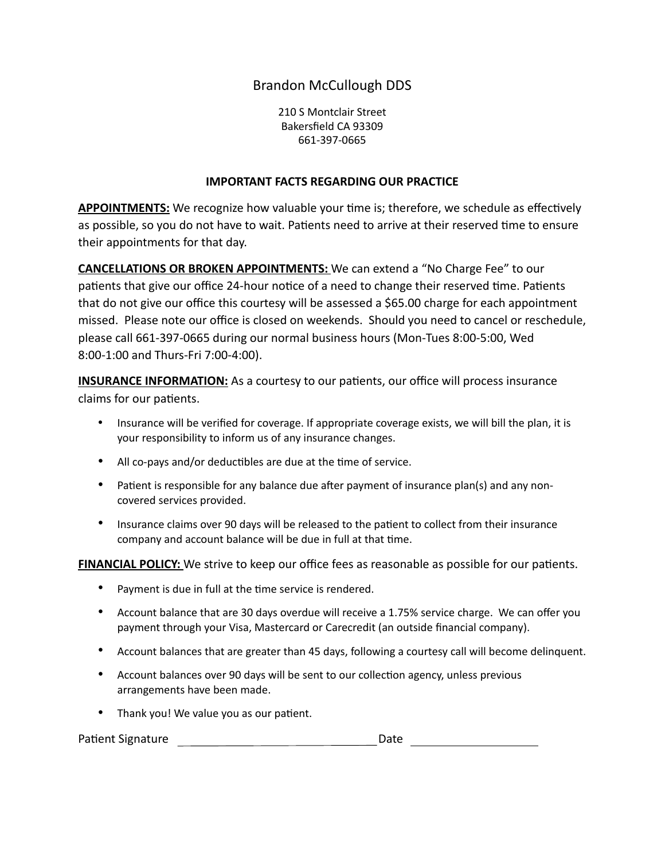## Brandon McCullough DDS

210 S Montclair Street Bakersfield CA 93309 661-397-0665

## **IMPORTANT FACTS REGARDING OUR PRACTICE**

**APPOINTMENTS:** We recognize how valuable your time is; therefore, we schedule as effectively as possible, so you do not have to wait. Patients need to arrive at their reserved time to ensure their appointments for that day.

**CANCELLATIONS OR BROKEN APPOINTMENTS:** We can extend a "No Charge Fee" to our patients that give our office 24-hour notice of a need to change their reserved time. Patients that do not give our office this courtesy will be assessed a \$65.00 charge for each appointment missed. Please note our office is closed on weekends. Should you need to cancel or reschedule, please call 661-397-0665 during our normal business hours (Mon-Tues 8:00-5:00, Wed 8:00-1:00 and Thurs-Fri 7:00-4:00).

**INSURANCE INFORMATION:** As a courtesy to our patients, our office will process insurance claims for our patients.

- Insurance will be verified for coverage. If appropriate coverage exists, we will bill the plan, it is your responsibility to inform us of any insurance changes.
- All co-pays and/or deductibles are due at the time of service.
- Patient is responsible for any balance due after payment of insurance plan(s) and any noncovered services provided.
- Insurance claims over 90 days will be released to the patient to collect from their insurance company and account balance will be due in full at that time.

**FINANCIAL POLICY:** We strive to keep our office fees as reasonable as possible for our patients.

- Payment is due in full at the time service is rendered.
- Account balance that are 30 days overdue will receive a 1.75% service charge. We can offer you payment through your Visa, Mastercard or Carecredit (an outside financial company).
- Account balances that are greater than 45 days, following a courtesy call will become delinquent.
- Account balances over 90 days will be sent to our collection agency, unless previous arrangements have been made.
- Thank you! We value you as our patient.

Patient Signature Date